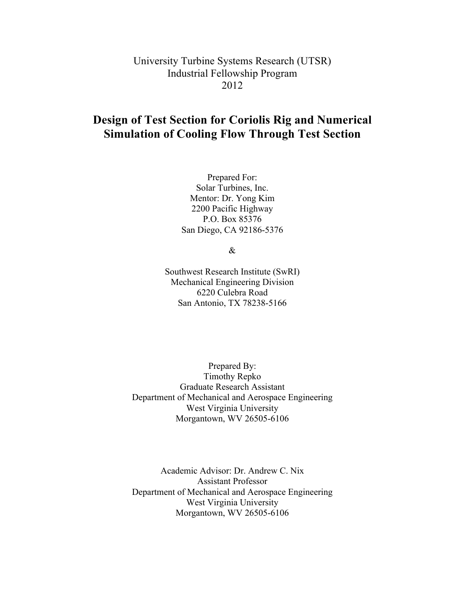University Turbine Systems Research (UTSR) Industrial Fellowship Program 2012

# **Design of Test Section for Coriolis Rig and Numerical Simulation of Cooling Flow Through Test Section**

Prepared For: Solar Turbines, Inc. Mentor: Dr. Yong Kim 2200 Pacific Highway P.O. Box 85376 San Diego, CA 92186-5376

&

Southwest Research Institute (SwRI) Mechanical Engineering Division 6220 Culebra Road San Antonio, TX 78238-5166

Prepared By: Timothy Repko Graduate Research Assistant Department of Mechanical and Aerospace Engineering West Virginia University Morgantown, WV 26505-6106

Academic Advisor: Dr. Andrew C. Nix Assistant Professor Department of Mechanical and Aerospace Engineering West Virginia University Morgantown, WV 26505-6106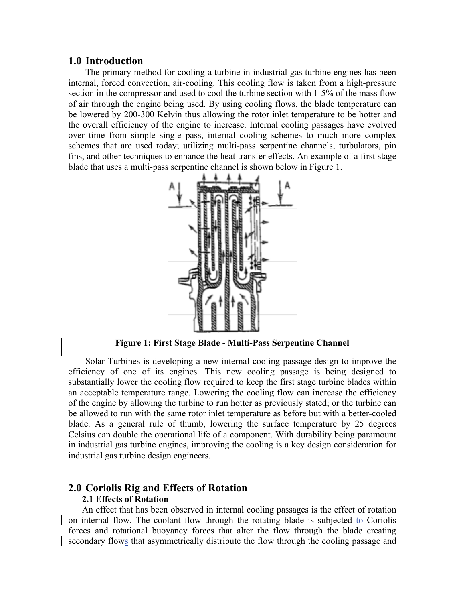## **1.0 Introduction**

The primary method for cooling a turbine in industrial gas turbine engines has been internal, forced convection, air-cooling. This cooling flow is taken from a high-pressure section in the compressor and used to cool the turbine section with 1-5% of the mass flow of air through the engine being used. By using cooling flows, the blade temperature can be lowered by 200-300 Kelvin thus allowing the rotor inlet temperature to be hotter and the overall efficiency of the engine to increase. Internal cooling passages have evolved over time from simple single pass, internal cooling schemes to much more complex schemes that are used today; utilizing multi-pass serpentine channels, turbulators, pin fins, and other techniques to enhance the heat transfer effects. An example of a first stage blade that uses a multi-pass serpentine channel is shown below in Figure 1.



**Figure 1: First Stage Blade - Multi-Pass Serpentine Channel**

Solar Turbines is developing a new internal cooling passage design to improve the efficiency of one of its engines. This new cooling passage is being designed to substantially lower the cooling flow required to keep the first stage turbine blades within an acceptable temperature range. Lowering the cooling flow can increase the efficiency of the engine by allowing the turbine to run hotter as previously stated; or the turbine can be allowed to run with the same rotor inlet temperature as before but with a better-cooled blade. As a general rule of thumb, lowering the surface temperature by 25 degrees Celsius can double the operational life of a component. With durability being paramount in industrial gas turbine engines, improving the cooling is a key design consideration for industrial gas turbine design engineers.

## **2.0 Coriolis Rig and Effects of Rotation 2.1 Effects of Rotation**

An effect that has been observed in internal cooling passages is the effect of rotation on internal flow. The coolant flow through the rotating blade is subjected to Coriolis forces and rotational buoyancy forces that alter the flow through the blade creating secondary flows that asymmetrically distribute the flow through the cooling passage and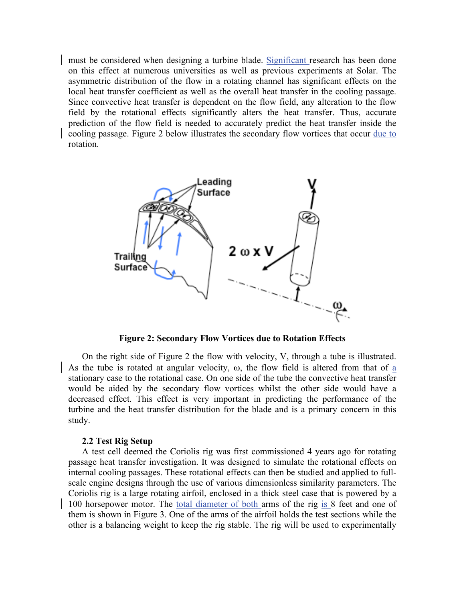must be considered when designing a turbine blade. Significant research has been done on this effect at numerous universities as well as previous experiments at Solar. The asymmetric distribution of the flow in a rotating channel has significant effects on the local heat transfer coefficient as well as the overall heat transfer in the cooling passage. Since convective heat transfer is dependent on the flow field, any alteration to the flow field by the rotational effects significantly alters the heat transfer. Thus, accurate prediction of the flow field is needed to accurately predict the heat transfer inside the cooling passage. Figure 2 below illustrates the secondary flow vortices that occur due to rotation.



**Figure 2: Secondary Flow Vortices due to Rotation Effects**

On the right side of Figure 2 the flow with velocity, V, through a tube is illustrated. As the tube is rotated at angular velocity, ω, the flow field is altered from that of a stationary case to the rotational case. On one side of the tube the convective heat transfer would be aided by the secondary flow vortices whilst the other side would have a decreased effect. This effect is very important in predicting the performance of the turbine and the heat transfer distribution for the blade and is a primary concern in this study.

#### **2.2 Test Rig Setup**

A test cell deemed the Coriolis rig was first commissioned 4 years ago for rotating passage heat transfer investigation. It was designed to simulate the rotational effects on internal cooling passages. These rotational effects can then be studied and applied to fullscale engine designs through the use of various dimensionless similarity parameters. The Coriolis rig is a large rotating airfoil, enclosed in a thick steel case that is powered by a 100 horsepower motor. The total diameter of both arms of the rig is 8 feet and one of them is shown in Figure 3. One of the arms of the airfoil holds the test sections while the other is a balancing weight to keep the rig stable. The rig will be used to experimentally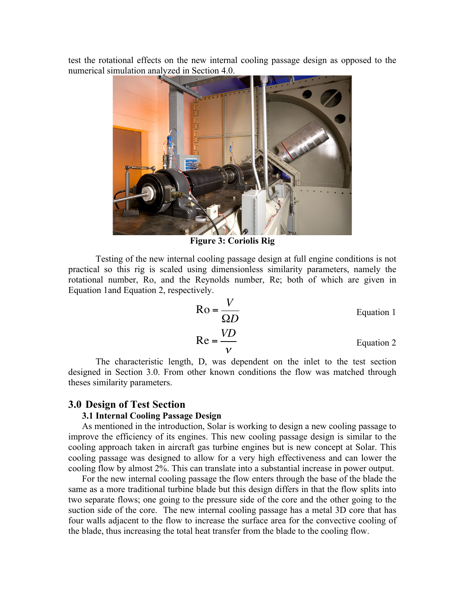test the rotational effects on the new internal cooling passage design as opposed to the numerical simulation analyzed in Section 4.0.



**Figure 3: Coriolis Rig**

Testing of the new internal cooling passage design at full engine conditions is not practical so this rig is scaled using dimensionless similarity parameters, namely the rotational number, Ro, and the Reynolds number, Re; both of which are given in Equation 1and Equation 2, respectively.

$$
Ro = \frac{V}{\Omega D}
$$
 Equation 1  
Re =  $\frac{VD}{v}$  Equation 2

The characteristic length, D, was dependent on the inlet to the test section designed in Section 3.0. From other known conditions the flow was matched through theses similarity parameters.

### **3.0 Design of Test Section**

## **3.1 Internal Cooling Passage Design**

As mentioned in the introduction, Solar is working to design a new cooling passage to improve the efficiency of its engines. This new cooling passage design is similar to the cooling approach taken in aircraft gas turbine engines but is new concept at Solar. This cooling passage was designed to allow for a very high effectiveness and can lower the cooling flow by almost 2%. This can translate into a substantial increase in power output.

For the new internal cooling passage the flow enters through the base of the blade the same as a more traditional turbine blade but this design differs in that the flow splits into two separate flows; one going to the pressure side of the core and the other going to the suction side of the core. The new internal cooling passage has a metal 3D core that has four walls adjacent to the flow to increase the surface area for the convective cooling of the blade, thus increasing the total heat transfer from the blade to the cooling flow.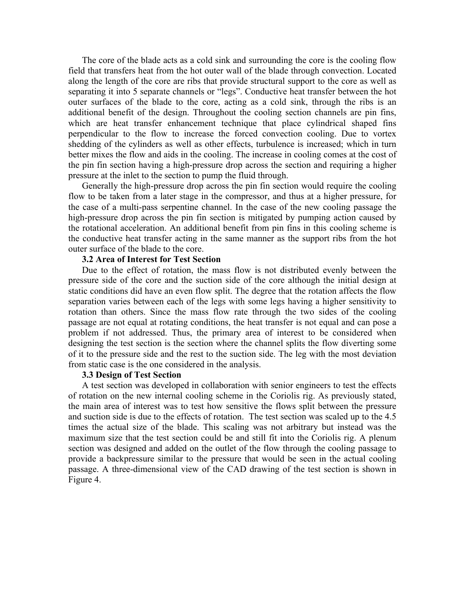The core of the blade acts as a cold sink and surrounding the core is the cooling flow field that transfers heat from the hot outer wall of the blade through convection. Located along the length of the core are ribs that provide structural support to the core as well as separating it into 5 separate channels or "legs". Conductive heat transfer between the hot outer surfaces of the blade to the core, acting as a cold sink, through the ribs is an additional benefit of the design. Throughout the cooling section channels are pin fins, which are heat transfer enhancement technique that place cylindrical shaped fins perpendicular to the flow to increase the forced convection cooling. Due to vortex shedding of the cylinders as well as other effects, turbulence is increased; which in turn better mixes the flow and aids in the cooling. The increase in cooling comes at the cost of the pin fin section having a high-pressure drop across the section and requiring a higher pressure at the inlet to the section to pump the fluid through.

Generally the high-pressure drop across the pin fin section would require the cooling flow to be taken from a later stage in the compressor, and thus at a higher pressure, for the case of a multi-pass serpentine channel. In the case of the new cooling passage the high-pressure drop across the pin fin section is mitigated by pumping action caused by the rotational acceleration. An additional benefit from pin fins in this cooling scheme is the conductive heat transfer acting in the same manner as the support ribs from the hot outer surface of the blade to the core.

#### **3.2 Area of Interest for Test Section**

Due to the effect of rotation, the mass flow is not distributed evenly between the pressure side of the core and the suction side of the core although the initial design at static conditions did have an even flow split. The degree that the rotation affects the flow separation varies between each of the legs with some legs having a higher sensitivity to rotation than others. Since the mass flow rate through the two sides of the cooling passage are not equal at rotating conditions, the heat transfer is not equal and can pose a problem if not addressed. Thus, the primary area of interest to be considered when designing the test section is the section where the channel splits the flow diverting some of it to the pressure side and the rest to the suction side. The leg with the most deviation from static case is the one considered in the analysis.

#### **3.3 Design of Test Section**

A test section was developed in collaboration with senior engineers to test the effects of rotation on the new internal cooling scheme in the Coriolis rig. As previously stated, the main area of interest was to test how sensitive the flows split between the pressure and suction side is due to the effects of rotation. The test section was scaled up to the 4.5 times the actual size of the blade. This scaling was not arbitrary but instead was the maximum size that the test section could be and still fit into the Coriolis rig. A plenum section was designed and added on the outlet of the flow through the cooling passage to provide a backpressure similar to the pressure that would be seen in the actual cooling passage. A three-dimensional view of the CAD drawing of the test section is shown in Figure 4.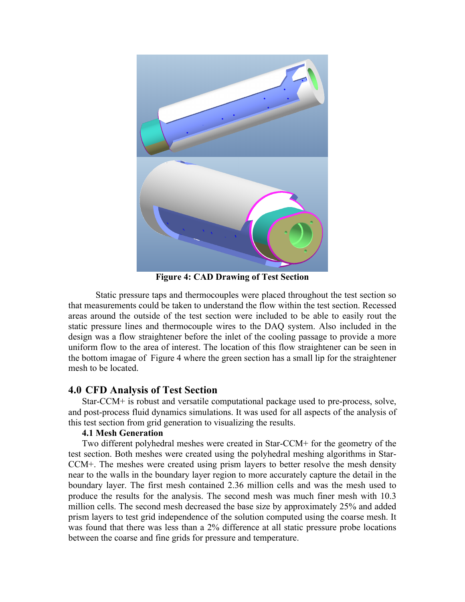

**Figure 4: CAD Drawing of Test Section**

Static pressure taps and thermocouples were placed throughout the test section so that measurements could be taken to understand the flow within the test section. Recessed areas around the outside of the test section were included to be able to easily rout the static pressure lines and thermocouple wires to the DAQ system. Also included in the design was a flow straightener before the inlet of the cooling passage to provide a more uniform flow to the area of interest. The location of this flow straightener can be seen in the bottom imagae of Figure 4 where the green section has a small lip for the straightener mesh to be located.

# **4.0 CFD Analysis of Test Section**

Star-CCM+ is robust and versatile computational package used to pre-process, solve, and post-process fluid dynamics simulations. It was used for all aspects of the analysis of this test section from grid generation to visualizing the results.

## **4.1 Mesh Generation**

Two different polyhedral meshes were created in Star-CCM+ for the geometry of the test section. Both meshes were created using the polyhedral meshing algorithms in Star-CCM+. The meshes were created using prism layers to better resolve the mesh density near to the walls in the boundary layer region to more accurately capture the detail in the boundary layer. The first mesh contained 2.36 million cells and was the mesh used to produce the results for the analysis. The second mesh was much finer mesh with 10.3 million cells. The second mesh decreased the base size by approximately 25% and added prism layers to test grid independence of the solution computed using the coarse mesh. It was found that there was less than a 2% difference at all static pressure probe locations between the coarse and fine grids for pressure and temperature.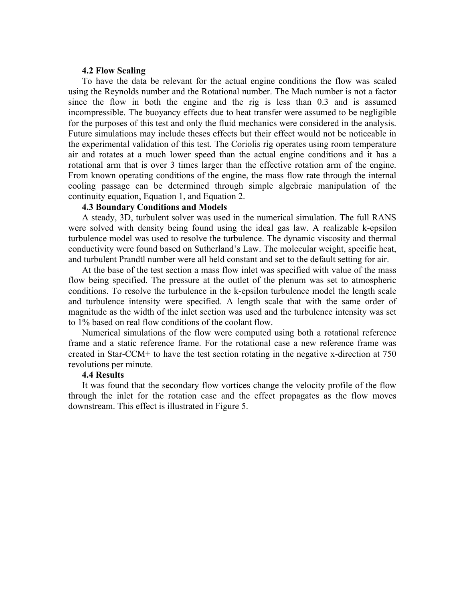#### **4.2 Flow Scaling**

To have the data be relevant for the actual engine conditions the flow was scaled using the Reynolds number and the Rotational number. The Mach number is not a factor since the flow in both the engine and the rig is less than 0.3 and is assumed incompressible. The buoyancy effects due to heat transfer were assumed to be negligible for the purposes of this test and only the fluid mechanics were considered in the analysis. Future simulations may include theses effects but their effect would not be noticeable in the experimental validation of this test. The Coriolis rig operates using room temperature air and rotates at a much lower speed than the actual engine conditions and it has a rotational arm that is over 3 times larger than the effective rotation arm of the engine. From known operating conditions of the engine, the mass flow rate through the internal cooling passage can be determined through simple algebraic manipulation of the continuity equation, Equation 1, and Equation 2.

## **4.3 Boundary Conditions and Models**

A steady, 3D, turbulent solver was used in the numerical simulation. The full RANS were solved with density being found using the ideal gas law. A realizable k-epsilon turbulence model was used to resolve the turbulence. The dynamic viscosity and thermal conductivity were found based on Sutherland's Law. The molecular weight, specific heat, and turbulent Prandtl number were all held constant and set to the default setting for air.

At the base of the test section a mass flow inlet was specified with value of the mass flow being specified. The pressure at the outlet of the plenum was set to atmospheric conditions. To resolve the turbulence in the k-epsilon turbulence model the length scale and turbulence intensity were specified. A length scale that with the same order of magnitude as the width of the inlet section was used and the turbulence intensity was set to 1% based on real flow conditions of the coolant flow.

Numerical simulations of the flow were computed using both a rotational reference frame and a static reference frame. For the rotational case a new reference frame was created in Star-CCM+ to have the test section rotating in the negative x-direction at 750 revolutions per minute.

#### **4.4 Results**

It was found that the secondary flow vortices change the velocity profile of the flow through the inlet for the rotation case and the effect propagates as the flow moves downstream. This effect is illustrated in Figure 5.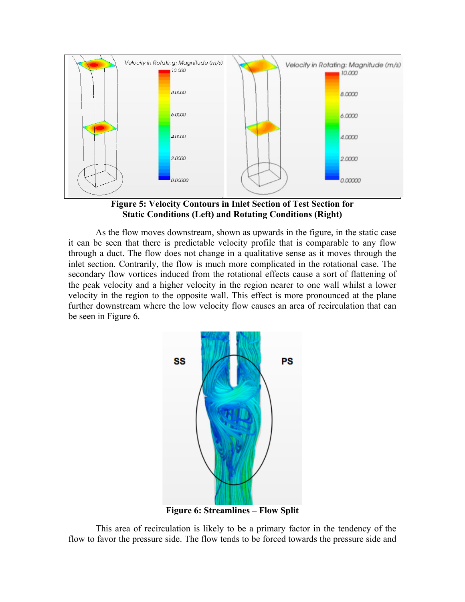

**Figure 5: Velocity Contours in Inlet Section of Test Section for Static Conditions (Left) and Rotating Conditions (Right)**

As the flow moves downstream, shown as upwards in the figure, in the static case it can be seen that there is predictable velocity profile that is comparable to any flow through a duct. The flow does not change in a qualitative sense as it moves through the inlet section. Contrarily, the flow is much more complicated in the rotational case. The secondary flow vortices induced from the rotational effects cause a sort of flattening of the peak velocity and a higher velocity in the region nearer to one wall whilst a lower velocity in the region to the opposite wall. This effect is more pronounced at the plane further downstream where the low velocity flow causes an area of recirculation that can be seen in Figure 6.



This area of recirculation is likely to be a primary factor in the tendency of the flow to favor the pressure side. The flow tends to be forced towards the pressure side and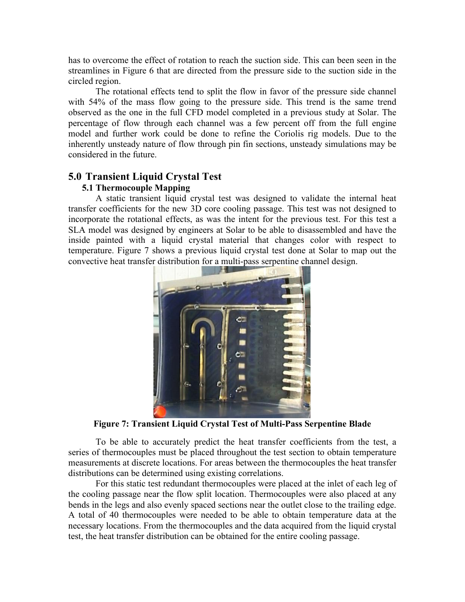has to overcome the effect of rotation to reach the suction side. This can been seen in the streamlines in Figure 6 that are directed from the pressure side to the suction side in the circled region.

The rotational effects tend to split the flow in favor of the pressure side channel with 54% of the mass flow going to the pressure side. This trend is the same trend observed as the one in the full CFD model completed in a previous study at Solar. The percentage of flow through each channel was a few percent off from the full engine model and further work could be done to refine the Coriolis rig models. Due to the inherently unsteady nature of flow through pin fin sections, unsteady simulations may be considered in the future.

# **5.0 Transient Liquid Crystal Test**

## **5.1 Thermocouple Mapping**

A static transient liquid crystal test was designed to validate the internal heat transfer coefficients for the new 3D core cooling passage. This test was not designed to incorporate the rotational effects, as was the intent for the previous test. For this test a SLA model was designed by engineers at Solar to be able to disassembled and have the inside painted with a liquid crystal material that changes color with respect to temperature. Figure 7 shows a previous liquid crystal test done at Solar to map out the convective heat transfer distribution for a multi-pass serpentine channel design.



**Figure 7: Transient Liquid Crystal Test of Multi-Pass Serpentine Blade**

To be able to accurately predict the heat transfer coefficients from the test, a series of thermocouples must be placed throughout the test section to obtain temperature measurements at discrete locations. For areas between the thermocouples the heat transfer distributions can be determined using existing correlations.

For this static test redundant thermocouples were placed at the inlet of each leg of the cooling passage near the flow split location. Thermocouples were also placed at any bends in the legs and also evenly spaced sections near the outlet close to the trailing edge. A total of 40 thermocouples were needed to be able to obtain temperature data at the necessary locations. From the thermocouples and the data acquired from the liquid crystal test, the heat transfer distribution can be obtained for the entire cooling passage.